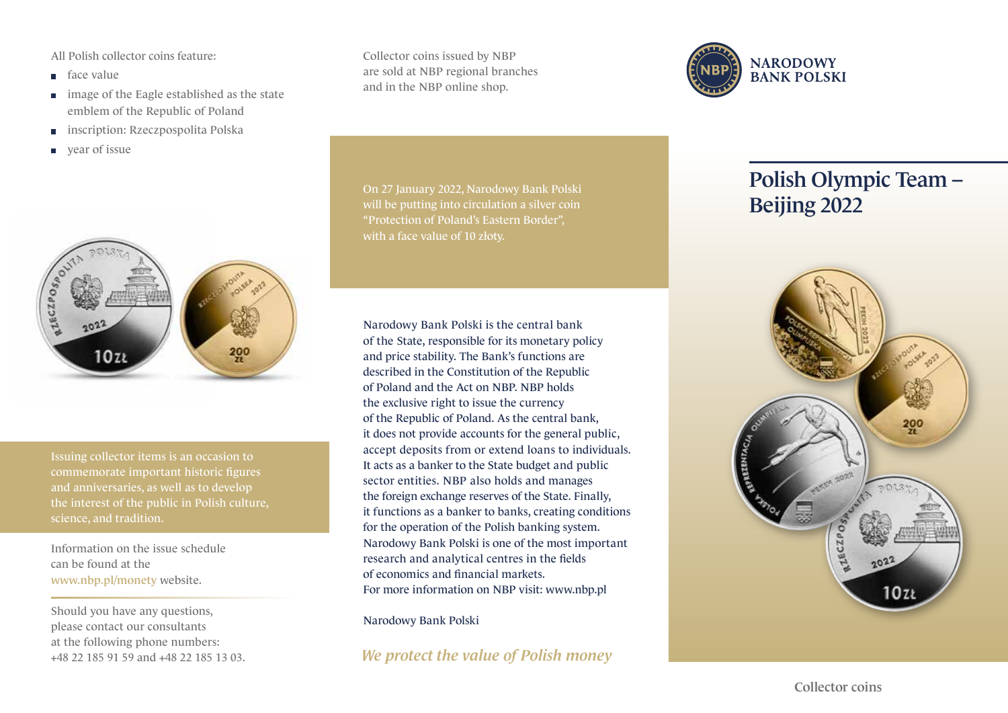All Polish collector coins feature:

- face value
- **image of the Eagle established as the state** emblem of the Republic of Poland
- inscription: Rzeczpospolita Polska  $\Box$
- year of issue  $\mathbb{R}^n$



Issuing collector items is an occasion to commemorate important historic figures and anniversaries, as well as to develop science, and tradition.

Information on the issue schedule can be found at the www.nbp.pl/monety website.

Should you have any questions, please contact our consultants at the following phone numbers: +48 22 185 91 59 and +48 22 185 13 03. Collector coins issued by NBP are sold at NBP regional branches and in the NBP online shop.



Narodowy Bank Polski is the central bank of the State, responsible for its monetary policy and price stability. The Bank's functions are described in the Constitution of the Republic of Poland and the Act on NBP. NBP holds the exclusive right to issue the currency of the Republic of Poland. As the central bank, it does not provide accounts for the general public, accept deposits from or extend loans to individuals. It acts as a banker to the State budget and public sector entities. NBP also holds and manages the foreign exchange reserves of the State. Finally, it functions as a banker to banks, creating conditions for the operation of the Polish banking system. Narodowy Bank Polski is one of the most important research and analytical centres in the fields of economics and financial markets. For more information on NBP visit: www.nbp.pl

Narodowy Bank Polski

*We protect the value of Polish money*



## Polish Olympic Team – Beijing 2022



Collector coins